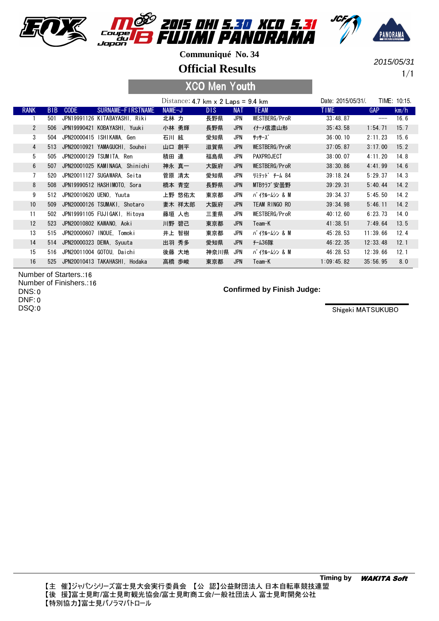





**Official Results**

1/1 2015/05/31

## XCO Men Youth

|                |            |             |                                |          | Distance: 4.7 km $\times$ 2 Laps = 9.4 km |            |                   | Date: 2015/05/31/ |            | TIME: 10:15. |
|----------------|------------|-------------|--------------------------------|----------|-------------------------------------------|------------|-------------------|-------------------|------------|--------------|
| <b>RANK</b>    | <b>BIB</b> | <b>CODE</b> | SURNAME-FIRSTNAME              | $NAME-J$ | DIS.                                      | <b>NAT</b> | <b>TEAM</b>       | <b>TIME</b>       | <b>GAP</b> | km/h         |
|                | 501        |             | JPN19991126 KITABAYASHI. Riki  | 北林 力     | 長野県                                       | JPN        | WESTBERG/ProR     | 33:48.87          | ---        | 16.6         |
| $\overline{2}$ | 506        | JPN19990421 | KOBAYASHI, Yuuki               | 小林 勇輝    | 長野県                                       | <b>JPN</b> | 什−メ信濃山形           | 35:43.58          | 1:54.71    | 15.7         |
| 3              | 504        |             | JPN20000415 ISHIKAWA. Gen      | 石川 絃     | 愛知県                                       | JPN        | サッサーズ゛            | 36:00.10          | 2:11.23    | 15.6         |
| $\overline{4}$ | 513        |             | JPN20010921 YAMAGUCHI, Souhei  | 山口 創平    | 滋賀県                                       | <b>JPN</b> | WESTBERG/ProR     | 37:05.87          | 3:17.00    | 15.2         |
| 5              | 505        |             | JPN20000129 TSUMITA. Ren       | 積田 連     | 福島県                                       | JPN        | <b>PAXPROJECT</b> | 38:00.07          | 4:11.20    | 14.8         |
| 6              | 507        |             | JPN20001025 KAMINAGA, Shinichi | 神永 真一    | 大阪府                                       | <b>JPN</b> | WESTBERG/ProR     | 38:30.86          | 4:41.99    | 14.6         |
| $\overline{7}$ | 520        |             | JPN20011127 SUGAWARA, Seita    | 菅原 清太    | 愛知県                                       | JPN        | リミテット゛ チーム 84     | 39:18.24          | 5:29.37    | 14.3         |
| 8              | 508        |             | JPN19990512 HASHIMOTO. Sora    | 橋本 青空    | 長野県                                       | <b>JPN</b> | MTBクラブ安曇野         | 39:29.31          | 5:40.44    | 14.2         |
| 9              | 512        |             | JPN20010620 UENO. Yuuta        | 上野 悠佑太   | 東京都                                       | JPN        | バ イクルームシン & M     | 39:34.37          | 5:45.50    | 14.2         |
| 10             | 509        |             | JPN20000126 TSUMAKI, Shotaro   | 妻木 祥太郎   | 大阪府                                       | <b>JPN</b> | TEAM RINGO RO     | 39:34.98          | 5:46.11    | 14.2         |
| 11             | 502        |             | JPN19991105 FUJIGAKI, Hitoya   | 藤垣 人也    | 三重県                                       | JPN        | WESTBERG/ProR     | 40:12.60          | 6:23.73    | 14.0         |
| 12             | 523        |             | JPN20010802 KAWANO, Aoki       | 川野 碧己    | 東京都                                       | <b>JPN</b> | Team-K            | 41:38.51          | 7:49.64    | 13.5         |
| 13             | 515        |             | JPN20000607 INOUE, Tomoki      | 井上 智樹    | 東京都                                       | JPN        | バイクルームシン & M      | 45:28.53          | 11:39.66   | 12.4         |
| 14             | 514        |             | JPN20000323 DEWA, Syuuta       | 出羽 秀多    | 愛知県                                       | <b>JPN</b> | チーム36隊            | 46:22.35          | 12:33.48   | 12.1         |
| 15             | 516        |             | JPN20011004 GOTOU. Daichi      | 後藤 大地    | 神奈川県                                      | JPN        | バ イクルームシン & M     | 46:28.53          | 12:39.66   | 12.1         |
| 16             | 525        |             | JPN20010413 TAKAHASHI, Hodaka  | 高橋 歩峻    | 東京都                                       | <b>JPN</b> | Team-K            | 1:09:45.82        | 35:56.95   | 8.0          |

Number of Starters.: 16 Number of Finishers.: 16

0 DNS: 0 DNF:

0 DSQ:

#### **Confirmed by Finish Judge:**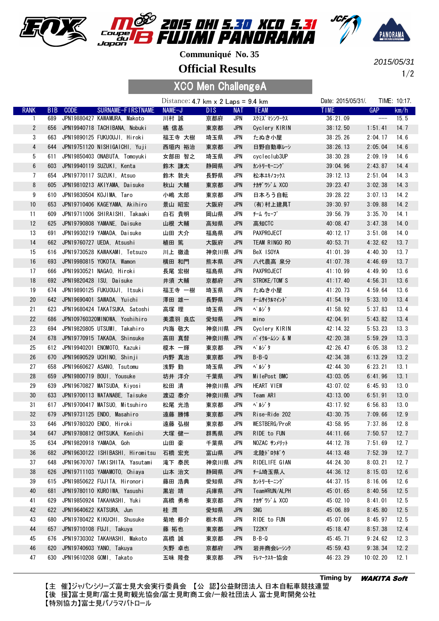





**Official Results**

1/2 2015/05/31

### XCO Men ChallengeA

|                |            |             |                                      | Distance: $4.7 \text{ km} \times 2 \text{ Laps} = 9.4 \text{ km}$ |          |            |                    | Date: 2015/05/31/. |                                                                                              | TIME: 10:17. |
|----------------|------------|-------------|--------------------------------------|-------------------------------------------------------------------|----------|------------|--------------------|--------------------|----------------------------------------------------------------------------------------------|--------------|
| <b>RANK</b>    | <b>BIB</b> | <b>CODE</b> | SURNAME-FIRSTNAME                    | NAME-J                                                            | DIS.     | <b>NAT</b> | <b>TEAM</b>        | <b>TIME</b>        | <b>GAP</b>                                                                                   | km/h         |
| 1              | 689        |             | JPN19880427 KAWAMURA, Makoto         | 川村 誠                                                              | 京都府      | JPN        | スクミズ マシンワークス       | 36:21.09           | $\hspace{1.5cm} \overbrace{\hspace{1.5cm}}^{ \hspace{1.5cm} \hspace{1.5cm} \hspace{1.5cm} }$ | 15.5         |
| $\overline{2}$ | 656        |             | JPN19940718 TACHIBANA, Nobuki        | 橘 信基                                                              | 東京都      | <b>JPN</b> | Cyclery KIRIN      | 38:12.50           | 1:51.41                                                                                      | 14.7         |
| 3              | 663        |             | JPN19890125 FUKUOUJI. Hiroki         | 福王寺 大樹                                                            | 埼玉県      | JPN        | たぬき小屋              | 38:25.26           | 2:04.17                                                                                      | 14.6         |
| 4              |            |             | 644 JPN19751120 NISHIGAICHI, Yuji    | 西垣内 裕治                                                            | 東京都      | <b>JPN</b> | 日野自動車レシ            | 38:26.13           | 2:05.04                                                                                      | 14.6         |
| 5              | 611        |             | JPN19850403 ONABUTA, Tomoyuki        | 女部田 智之                                                            | 埼玉県      | <b>JPN</b> | cycleclub3UP       | 38:30.28           | 2:09.19                                                                                      | 14.6         |
| $6\,$          | 603        |             | JPN19940119 SUZUKI, Kenta            | 鈴木 謙太                                                             | 静岡県      | <b>JPN</b> | カントリーモーニング         | 39:04.96           | 2:43.87                                                                                      | 14.4         |
| 7              | 654        |             | JPN19770117 SUZUKI, Atsuo            | 鈴木 敦夫                                                             | 長野県      | JPN        | 松本エキノコックス          | 39:12.13           | 2:51.04                                                                                      | 14.3         |
| 8              | 605        |             | JPN19810213 AKIYAMA, Daisuke         | 秋山 大輔                                                             | 東京都      | <b>JPN</b> | ナカザワジム XCO         | 39:23.47           | 3:02.38                                                                                      | 14.3         |
| 9              | 610        |             | JPN19830504 KOJIMA, Taro             | 小嶋 太郎                                                             | 東京都      | <b>JPN</b> | 日本ろう自転             | 39:28.22           | 3:07.13                                                                                      | 14.2         |
| 10             | 653        |             | JPN19710406 KAGEYAMA, Akihiro        | 景山 昭宏                                                             | 大阪府      | <b>JPN</b> | (有) 村上建具T          | 39:30.97           | 3:09.88                                                                                      | 14.2         |
| 11             | 609        |             | JPN19711006 SHIRAISHI, Takaaki       | 白石 貴明                                                             | 岡山県      | JPN        | チーム ウェーブ           | 39:56.79           | 3:35.70                                                                                      | 14.1         |
| 12             | 625        |             | JPN19790808 YAMANE, Daisuke          | 山根 大輔                                                             | 高知県      | <b>JPN</b> | 高知CTC              | 40:08.47           | 3:47.38                                                                                      | 14.0         |
| 13             | 691        |             | JPN19930219 YAMADA, Daisuke          | 山田 大介                                                             | 福島県      | JPN        | PAXPROJECT         | 40:12.17           | 3:51.08                                                                                      | 14.0         |
| 14             |            |             | 662 JPN19760727 UEDA, Atsushi        | 植田 篤                                                              | 大阪府      | JPN        | TEAM RINGO RO      | 40:53.71           | 4:32.62                                                                                      | 13.7         |
| 15             | 616        |             | JPN19730528 KAWAKAMI, Tetsuzo        | 川上 徹造                                                             | 神奈川県     | JPN        | BeX ISOYA          | 41:01.39           | 4:40.30                                                                                      | 13.7         |
| 16             | 693        |             | JPN19980815 YOKOTA, Wamon            | 横田 和門                                                             | 熊本県      | JPN        | 八代農高 泉分            | 41:07.78           | 4:46.69                                                                                      | 13.7         |
| 17             | 666        |             | JPN19930521 NAGAO, Hiroki            | 長尾 宏樹                                                             | 福島県      | JPN        | <b>PAXPROJECT</b>  | 41:10.99           | 4:49.90                                                                                      | 13.6         |
| 18             | 692        |             | JPN19820428 ISU, Daisuke             | 井須 大輔                                                             | 京都府      | <b>JPN</b> | STROKE/TOM'S       | 41:17.40           | 4:56.31                                                                                      | 13.6         |
| 19             |            |             | 674 JPN19890125 FUKUOUJI, Itsuki     | 福王寺 一樹                                                            | 埼玉県      | JPN        | たぬき小屋              | 41:20.73           | 4:59.64                                                                                      | 13.6         |
| 20             | 642        |             | JPN19690401 SAWADA, Yuichi           | 澤田 雄一                                                             | 長野県      | <b>JPN</b> | チームサイクルマイント゛       | 41:54.19           | 5:33.10                                                                                      | 13.4         |
| 21             | 623        |             | JPN19680424 TAKATSUKA, Satoshi       | 高塚 理                                                              | 埼玉県      | JPN        | ペルゾタ               | 41:58.92           | 5:37.83                                                                                      | 13.4         |
| 22             | 686        |             | JPN109760320MINOWA, Yoshihiro        | 美濃羽 良広                                                            | 愛知県      | <b>JPN</b> | mino               | 42:04.91           | 5:43.82                                                                                      | 13.4         |
| 23             |            |             | 694 JPN19820805 UTSUMI, Takahiro     | 内海 敬大                                                             | 神奈川県 JPN |            | Cyclery KIRIN      | 42:14.32           | 5:53.23                                                                                      | 13.3         |
| 24             | 678        |             | JPN19770915 TAKADA, Shinsuke         | 高田 真督                                                             | 神奈川県 JPN |            | バ イクルームシン & M      | 42:20.38           | 5:59.29                                                                                      | 13.3         |
| 25             |            |             | 612 JPN19940201 ENOMOTO, Kazuki      | 榎本 一輝                                                             | 東京都      | JPN        | ペルゾタ               | 42:26.47           | 6:05.38                                                                                      | 13.2         |
| 26             | 670        |             | JPN19690529 UCHINO, Shinji           | 内野 真治                                                             | 東京都      | <b>JPN</b> | $B - B - Q$        | 42:34.38           | 6:13.29                                                                                      | 13.2         |
| 27             | 658        |             | JPN19660627 ASANO, Tsutomu           | 浅野 勤                                                              | 埼玉県      | JPN        | ペルゾタ               | 42:44.30           | 6:23.21                                                                                      | 13.1         |
| 28             | 659        |             | JPN19800719 BOUI, Yousuke            | 坊井 洋介                                                             | 千葉県      | <b>JPN</b> | MilePost BMC       | 43:03.05           | 6:41.96                                                                                      | 13.1         |
| 29             | 639        |             | JPN19670827 MATSUDA, Kiyosi          | 松田 清                                                              | 神奈川県 JPN |            | HEART VIEW         | 43:07.02           | 6:45.93                                                                                      | 13.0         |
| 30             | 633        |             | JPN19700113 WATANABE, Taisuke        | 渡辺 泰介                                                             | 神奈川県 JPN |            | Team ARI           | 43:13.00           | 6:51.91                                                                                      | 13.0         |
| 31             | 617        |             | JPN19700417 MATSUO, Mitsuhiro        | 松尾 光浩                                                             | 東京都      | JPN        | ペルゾタ               | 43:17.92           | 6:56.83                                                                                      | 13.0         |
| 32             | 679        |             | JPN19731125 ENDO, Masahiro           | 遠藤 勝博                                                             | 東京都      | <b>JPN</b> | Rise-Ride 202      | 43:30.75           | 7:09.66                                                                                      | 12.9         |
| 33             |            |             | 646 JPN19780320 ENDO, Hiroki         | 遠藤 弘樹                                                             | 東京都      | JPN        | WESTBERG/ProR      | 43:58.95           | 7:37.86                                                                                      | 12.8         |
| 34             |            |             | 647 JPN19780812 OHTSUKA, Kenichi     | 大塚 健一                                                             | 群馬県      | <b>JPN</b> | RIDE to FUN        | 44:11.66           | 7:50.57                                                                                      | 12.7         |
| 35             |            |             | 634 JPN19820918 YAMADA, Goh          | 山田 豪                                                              | 千葉県      | JPN        | NOZAC サンメリット       | 44:12.78           | 7:51.69                                                                                      | 12.7         |
| 36             |            |             | 682 JPN19630122 ISHIBASHI, Hiromitsu | 石橋 宏充                                                             | 富山県      | <b>JPN</b> | 北陸ドロタボウ            | 44:13.48           | 7:52.39                                                                                      | 12.7         |
| 37             | 648        |             | JPN19670707 TAKISHITA, Yasutami      | 滝下 泰民                                                             | 神奈川県     | JPN        | RIDELIFE GIAN      | 44:24.30           | 8:03.21                                                                                      | 12.7         |
| 38             | 626        |             | JPN19711103 YAMAMOTO, Chiaya         | 山本 治文                                                             | 静岡県      | JPN        | <b>f-ム埼玉県人</b>     | 44:36.12           | 8:15.03                                                                                      | 12.6         |
| 39             |            |             | 615 JPN19850622 FUJITA, Hironori     | 藤田 浩典                                                             | 愛知県      | JPN        | カントリーモーニング         | 44:37.15           | 8:16.06                                                                                      | 12.6         |
| 40             |            |             | 681 JPN19780110 KUROIWA, Yasushi     | 黒岩 靖                                                              | 兵庫県      | <b>JPN</b> | Team¥RUN/ALPH      | 45:01.65           | 8:40.56                                                                                      | 12.5         |
| 41             |            |             | 629 JPN19850924 TAKAHASHI, Yuki      | 高橋 勇希                                                             | 東京都      | JPN        | ナカザワジム XCO         | 45:02.10           | 8:41.01                                                                                      | 12.5         |
| 42             |            |             | 622 JPN19640622 KATSURA, Jun         | 桂 潤                                                               | 愛知県      | <b>JPN</b> | SNG                | 45:06.89           | 8:45.80                                                                                      | 12.5         |
| 43             | 680        |             | JPN19780422 KIKUCHI, Shusuke         | 菊地 修介                                                             | 栃木県      | JPN        | RIDE to FUN        | 45:07.06           | 8:45.97                                                                                      | 12.5         |
| 44             | 657        |             | JPN19710108 FUJI, Takuya             | 藤 拓也                                                              | 東京都      | JPN        | T <sub>22</sub> KY | 45:18.47           | 8:57.38                                                                                      | 12.4         |
| 45             | 676        |             | JPN19730302 TAKAHASHI, Makoto        | 高橋 誠                                                              | 東京都      | JPN        | $B - B - Q$        | 45:45.71           | 9:24.62                                                                                      | 12.3         |
| 46             | 620        |             | JPN19740603 YANO, Takuya             | 矢野 卓也                                                             | 京都府      | <b>JPN</b> | 岩井商会レーシンク          | 45:59.43           | 9:38.34                                                                                      | 12.2         |
| 47             |            |             | 630 JPN19610208 GOMI, Takato         | 五味 隆登                                                             | 東京都      | JPN        | テレマークスキー協会         | 46:23.29           | 10:02.20                                                                                     | 12.1         |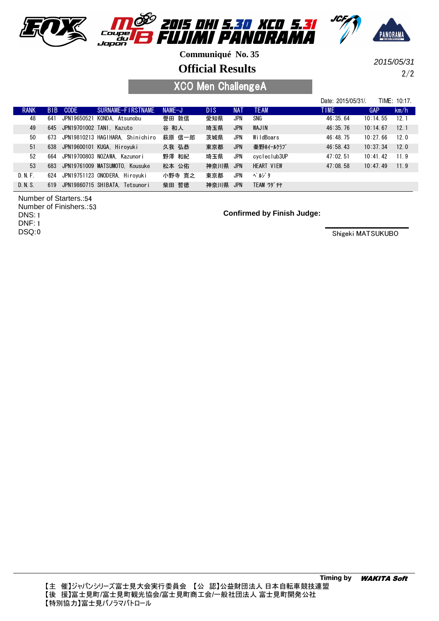





**Official Results**

2/2 2015/05/31

XCO Men ChallengeA

|             |     |             |                                      |          |            |            |                   | Date: 2015/05/31/ |          | TIME: 10:17. |
|-------------|-----|-------------|--------------------------------------|----------|------------|------------|-------------------|-------------------|----------|--------------|
| <b>RANK</b> |     | BIB CODE    | SURNAME-FIRSTNAME                    | $NAME-J$ | <b>DIS</b> | <b>NAT</b> | <b>TEAM</b>       | <b>TIME</b>       | GAP      | km/h         |
| 48          | 641 | JPN19650521 | KONDA, Atsunobu                      | 譽田 敦信    | 愛知県        | JPN        | SNG               | 46:35.64          | 10:14.55 | 12.1         |
| 49          |     |             | 645 JPN19701002 TANI, Kazuto         | 谷 和人     | 埼玉県        | <b>JPN</b> | WAJIN             | 46:35.76          | 10:14.67 | 12.1         |
| 50          |     |             | 673 JPN19810213 HAGIHARA. Shinichiro | 萩原 信一郎   | 茨城県        | JPN        | WildBoars         | 46:48.75          | 10:27.66 | 12.0         |
| 51          |     |             | 638 JPN19600101 KUGA, Hiroyuki       | 久我 弘恭    | 東京都        | <b>JPN</b> | 秦野ホイールクラブ         | 46:58.43          | 10:37.34 | 120          |
| 52          | 664 |             | JPN19700803 NOZAWA. Kazunori         | 野澤 和紀    | 埼玉県        | JPN        | cycleclub3UP      | 47:02.51          | 10:41.42 | 11.9         |
| 53          |     |             | 683 JPN19761009 MATSUMOTO. Kousuke   | 松本 公佑    | 神奈川県       | <b>JPN</b> | HEART VIEW        | 47:08.58          | 10:47.49 | 119          |
| D. N. F.    | 624 |             | JPN19751123 ONODERA. Hirovuki        | 小野寺 寛之   | 東京都        | JPN        | ペルゾタ              |                   |          |              |
| D. N. S.    | 619 |             | JPN19860715 SHIBATA. Tetsunori       | 柴田 哲徳    | 神奈川県       | <b>JPN</b> | <b>TEAM ワダ チヤ</b> |                   |          |              |

Number of Starters.: 54 Number of Finishers.: 53

1 DNS:

1 DNF:

0 DSQ:

#### **Confirmed by Finish Judge:**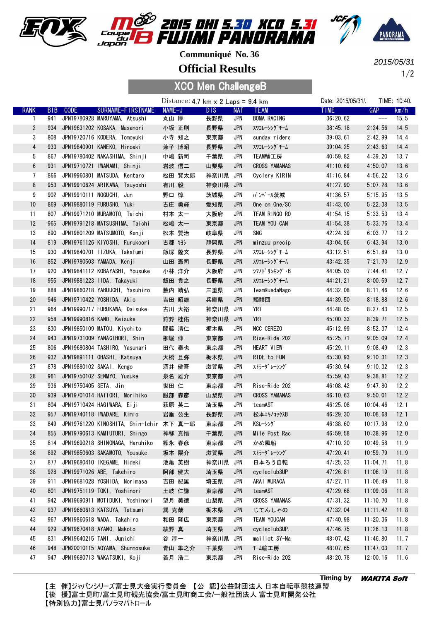





**Official Results**

1/2 2015/05/31

### XCO Men ChallengeB

|                 |            |                       |                                              |        | Distance: $4.7 \text{ km} \times 2 \text{ Laps} = 9.4 \text{ km}$ |          |            |                      | Date: 2015/05/31/. | TIME: 10:40.  |      |
|-----------------|------------|-----------------------|----------------------------------------------|--------|-------------------------------------------------------------------|----------|------------|----------------------|--------------------|---------------|------|
| <b>RANK</b>     | <b>BIB</b> | <b>CODE</b>           | SURNAME-FIRSTNAME                            | NAME-J |                                                                   | DIS.     | <b>NAT</b> | <b>TEAM</b>          | <b>TIME</b>        | <b>GAP</b>    | km/h |
| 1               | 941        |                       | JPN19780928 MARUYAMA, Atsushi                | 丸山 厚   |                                                                   | 長野県      | JPN        | BOMA RACING          | 36:20.62           | $\frac{1}{1}$ | 15.5 |
| $\overline{2}$  | 934        |                       | JPN19631202 KOSAKA, Masanori                 | 小坂 正則  |                                                                   | 長野県      | <b>JPN</b> | スワコレーシング チーム         | 38:45.18           | 2:24.56       | 14.5 |
| 3               | 808        |                       | JPN19720716 KODERA, Tomoyuki                 | 小寺 知之  |                                                                   | 東京都      | JPN        | sunday riders        | 39:03.61           | 2:42.99       | 14.4 |
| 4               | 933        |                       | JPN19840901 KANEKO, Hiroaki                  | 兼子 博昭  |                                                                   | 長野県      | <b>JPN</b> | スワコレーシング チーム         | 39:04.25           | 2:43.63       | 14.4 |
| 5               | 867        |                       | JPN19780402 NAKASHIMA, Shinji                | 中嶋 新司  |                                                                   | 千葉県      | <b>JPN</b> | TEAM輪工房              | 40:59.82           | 4:39.20       | 13.7 |
| $6\phantom{.0}$ | 931        |                       | JPN19710721 IWANAMI, Shinji                  | 岩波 信二  |                                                                   | 山梨県      | <b>JPN</b> | <b>CROSS YAMANAS</b> | 41:10.69           | 4:50.07       | 13.6 |
| $\overline{7}$  | 866        |                       | JPN19960801 MATSUDA, Kentaro                 |        | 松田 賢太郎                                                            | 神奈川県 JPN |            | Cyclery KIRIN        | 41:16.84           | 4:56.22       | 13.6 |
| 8               | 953        |                       | JPN19910624 ARIKAWA, Tsuyoshi                | 有川 毅   |                                                                   | 神奈川県     | JPN        |                      | 41:27.90           | 5:07.28       | 13.6 |
| 9               | 902        |                       | JPN19910111 NOGUCHI. Jun                     | 野口 惇   |                                                                   | 茨城県      | JPN        | バンベール茨城              | 41:36.57           | 5:15.95       | 13.5 |
| 10              | 869        |                       | JPN19880119 FURUSHO, Yuki                    | 古庄 勇輝  |                                                                   | 愛知県      | JPN        | One on One/SC        | 41:43.00           | 5:22.38       | 13.5 |
| 11              | 807        |                       | JPN19971210 MURAMOTO, Taichi                 | 村本 太一  |                                                                   | 大阪府      | JPN        | TEAM RINGO RO        | 41:54.15           | 5:33.53       | 13.4 |
| 12              | 965        |                       | JPN19791218 MATSUSHIMA, Taichi               | 松嶋 太一  |                                                                   | 東京都      | <b>JPN</b> | TEAM YOU CAN         | 41:54.38           | 5:33.76       | 13.4 |
| 13              | 890        |                       | JPN19801209 MATSUMOTO, Kenji                 | 松本 賢治  |                                                                   | 岐阜県      | JPN        | SNG                  | 42:24.39           | 6:03.77       | 13.2 |
| 14              | 819        |                       | JPN19761126 KIYOSHI, Furukoori               | 古郡 キヨシ |                                                                   | 静岡県      | <b>JPN</b> | minzuu precip        | 43:04.56           | 6:43.94       | 13.0 |
| 15              | 930        |                       | JPN19840701 IIZUKA, Takafumi                 |        | 飯塚 隆文                                                             | 長野県      | JPN        | スワコレーシング チーム         | 43:12.51           | 6:51.89       | 13.0 |
| 16              |            |                       | 852 JPN19780503 YAMADA, Kenji                | 山田 憲司  |                                                                   | 長野県      | <b>JPN</b> | スワコレーシング チーム         | 43:42.35           | 7:21.73       | 12.9 |
| 17              | 920        |                       | JPN19841112 KOBAYASHI, Yousuke               | 小林 洋介  |                                                                   | 大阪府      | JPN        | シマノドリンキング・B          | 44:05.03           | 7:44.41       | 12.7 |
| 18              | 955        |                       | JPN19881223 IIDA, Takayuki                   | 飯田 貴之  |                                                                   | 長野県      | <b>JPN</b> | スワコレーシング チーム         | 44:21.21           | 8:00.59       | 12.7 |
| 19              | 888        |                       | JPN19860218 YABUUCHI, Yasuhiro               |        | 藪内 靖弘                                                             | 三重県      | JPN        | TeamRuedaNago        | 44:32.08           | 8:11.46       | 12.6 |
| 20              | 946        |                       | JPN19710422 YOSHIDA, Akio                    | 吉田 昭雄  |                                                                   | 兵庫県      | JPN        | 髑髏団                  | 44:39.50           | 8:18.88       | 12.6 |
| 21              | 964        |                       | JPN19990717 FURUKAWA, Daisuke                |        | 古川 大裕                                                             | 神奈川県     | JPN        | YRT                  | 44:48.05           | 8:27.43       | 12.5 |
| 22              | 958        |                       | JPN19990816 KANO, Keisuke                    | 狩野 桂佑  |                                                                   | 神奈川県 JPN |            | <b>YRT</b>           | 45:00.33           | 8:39.71       | 12.5 |
| 23              | 830        |                       | JPN19850109 MATOU, Kiyohito                  | 間藤 清仁  |                                                                   | 栃木県      | JPN        | <b>NCC CEREZO</b>    | 45:12.99           | 8:52.37       | 12.4 |
| 24              | 943        |                       | JPN19731009 YANAGIHORI, Shin                 | 柳堀 伸   |                                                                   | 東京都      | <b>JPN</b> | Rise-Ride 202        | 45:25.71           | 9:05.09       | 12.4 |
| 25              | 806        |                       | JPN19680804 TASHIRO, Yasunari                |        | 田代 泰也                                                             | 東京都      | JPN        | HEART VIEW           | 45:29.11           | 9:08.49       | 12.3 |
| 26              | 932        |                       | JPN19891111 OHASHI, Katsuya                  | 大橋 且弥  |                                                                   | 栃木県      | JPN        | RIDE to FUN          | 45:30.93           | 9:10.31       | 12.3 |
| 27              | 878        |                       | JPN19880102 SAKAI, Kengo                     | 酒井 健吾  |                                                                   | 滋賀県      | <b>JPN</b> | ストラーダ レーシング          | 45:30.94           | 9:10.32       | 12.3 |
| 28              | 961        |                       | JPN19750102 SENMY0, Yusuke                   | 泉名 雄介  |                                                                   | 東京都      | <b>JPN</b> |                      | 45:59.43           | 9:38.81       | 12.2 |
| 29              | 936        | JPN19750405 SETA, Jin |                                              | 世田 仁   |                                                                   | 東京都      | JPN        | Rise-Ride 202        | 46:08.42           | 9:47.80       | 12.2 |
| $30\,$          | 939        |                       | JPN19701014 HATTORI, Morihiko                | 服部 森彦  |                                                                   | 山梨県      | <b>JPN</b> | <b>CROSS YAMANAS</b> | 46:10.63           | 9:50.01       | 12.2 |
| 31              | 804        |                       | JPN19710424 HAGIWARA, Eiji                   | 萩原 英二  |                                                                   | 埼玉県      | JPN        | teamAST              | 46:25.08           | 10:04.46      | 12.1 |
| 32              | 957        |                       | JPN19740118 IWADARE, Kimio                   | 岩垂 公生  |                                                                   | 長野県      | <b>JPN</b> | 松本エキノコックスB           | 46:29.30           | 10:08.68      | 12.1 |
| 33              |            |                       | 849 JPN19761220 KINOSHITA, Shin-Ichir 木下 真一郎 |        |                                                                   | 東京都      | JPN        | KSレーシング              | 46:38.60           | 10:17.98      | 12.0 |
| 34              |            |                       | 855 JPN19790613 KAMIUTURI, Shingo            | 神移 真悟  |                                                                   | 千葉県      | JPN        | Mile Post Rac        | 46:59.58           | 10:38.96      | 12.0 |
| 35              |            |                       | 814 JPN19690218 SHINONAGA, Haruhiko          | 篠永 春彦  |                                                                   | 東京都      | JPN        | かめ風船                 | 47:10.20           | 10:49.58      | 11.9 |
| 36              | 892        |                       | JPN19850603 SAKAMOTO, Yousuke                | 坂本 陽介  |                                                                   | 滋賀県      | <b>JPN</b> | ストラーダ レーシング          | 47:20.41           | 10:59.79      | 11.9 |
| 37              | 877        |                       | JPN19680410 IKEGAME, Hideki                  | 池亀 英樹  |                                                                   | 神奈川県     | JPN        | 日本ろう自転               | 47:25.33           | 11:04.71      | 11.8 |
| 38              | 928        |                       | JPN19971026 ABE, Takehiro                    |        | 阿部 健大                                                             | 埼玉県      | JPN        | cycleclub3UP         | 47:26.81           | 11:06.19      | 11.8 |
| 39              | 911        |                       | JPN19681028 YOSHIDA, Norimasa                |        | 吉田 紀匡                                                             | 埼玉県      | JPN        | ARAI MURACA          | 47:27.11           | 11:06.49      | 11.8 |
| 40              | 801        |                       | JPN19751119 TOKI, Yoshinori                  |        | 土岐 仁謙                                                             | 東京都      | <b>JPN</b> | teamAST              | 47:29.68           | 11:09.06      | 11.8 |
| 41              | 942        |                       | JPN19690911 MOTIDUKI, Yoshinori              | 望月 美徳  |                                                                   | 山梨県      | JPN        | <b>CROSS YAMANAS</b> | 47:31.32           | 11:10.70      | 11.8 |
| 42              | 937        |                       | JPN19660613 KATSUYA, Tatsumi                 | 巽 克哉   |                                                                   | 栃木県      | <b>JPN</b> | じてんしゃの               | 47:32.04           | 11:11.42      | 11.8 |
| 43              | 967        |                       | JPN19860618 WADA, Takahiro                   | 和田 隆広  |                                                                   | 東京都      | JPN        | <b>TEAM YOUCAN</b>   | 47:40.98           | 11:20.36      | 11.8 |
| 44              | 929        |                       | JPN19670418 AYANO, Makoto                    | 綾野 真   |                                                                   | 埼玉県      | <b>JPN</b> | cycleclub3UP.        | 47:46.75           | 11:26.13      | 11.8 |
| 45              | 831        |                       | JPN19640215 TANI, Junichi                    | 谷 淳一   |                                                                   | 神奈川県 JPN |            | maillot SY-Na        | 48:07.42           | 11:46.80      | 11.7 |
| 46              | 948        |                       | JPN20010115 A0YAMA, Shunnosuke               |        | 青山 隼之介                                                            | 千葉県      | <b>JPN</b> | f-ム輪工房               | 48:07.65           | 11:47.03      | 11.7 |
| 47              | 947        |                       | JPN19680713 WAKATSUKI, Koji                  | 若月 浩二  |                                                                   | 東京都      | JPN        | Rise-Ride 202        | 48:20.78           | 12:00.16      | 11.6 |
|                 |            |                       |                                              |        |                                                                   |          |            |                      |                    |               |      |

【主 催】ジャパンシリーズ富士見大会実行委員会 【公 認】公益財団法人 日本自転車競技連盟 【後 援】富士見町/富士見町観光協会/富士見町商工会/一般社団法人 富士見町開発公社 【特別協力】富士見パノラマパトロール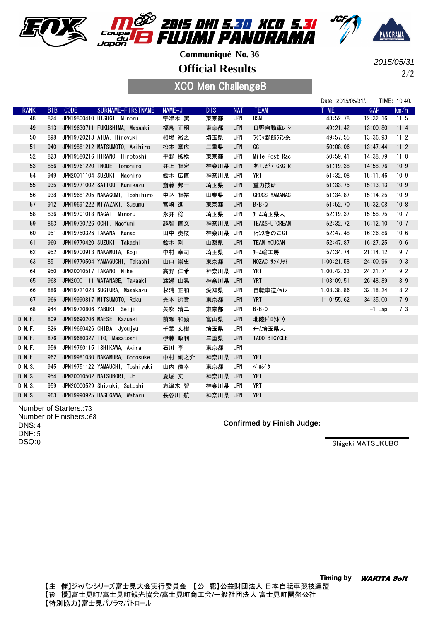





**Official Results**

XCO Men ChallengeB

2/2 2015/05/31

|             |            |             |                                  |        |          |            |                      | Date: 2015/05/31/. | TIME: 10:40.       |
|-------------|------------|-------------|----------------------------------|--------|----------|------------|----------------------|--------------------|--------------------|
| <b>RANK</b> | <b>BIB</b> | <b>CODE</b> | SURNAME-FIRSTNAME                | NAME-J | DIS.     | <b>NAT</b> | <b>TEAM</b>          | TIME.              | <b>GAP</b><br>km/h |
| 48          | 824        |             | JPN19800410 UTSUGI, Minoru       | 宇津木 実  | 東京都      | <b>JPN</b> | <b>USM</b>           | 48:52.78           | 12:32.16<br>11.5   |
| 49          | 813        |             | JPN19630711 FUKUSHIMA, Masaaki   | 福島 正明  | 東京都      | JPN        | 日野自動車レシ              | 49:21.42           | 13:00.80<br>11.4   |
| 50          | 898        |             | JPN19720213 AIBA, Hiroyuki       | 相場 裕之  | 埼玉県      | <b>JPN</b> | ラクラク野郎ラテン系           | 49:57.55           | 13:36.93<br>11.2   |
| 51          | 940        |             | JPN19881212 MATSUMOTO, Akihiro   | 松本 章広  | 三重県      | <b>JPN</b> | CG                   | 50:08.06           | 13:47.44<br>11.2   |
| 52          | 823        |             | JPN19580216 HIRANO, Hirotoshi    | 平野 拡稔  | 東京都      | <b>JPN</b> | Mile Post Rac        | 50:59.41           | 14:38.79<br>11.0   |
| 53          | 856        |             | JPN19761220 INOUE, Tomohiro      | 井上 智宏  | 神奈川県     | JPN        | あしがらCXC R            | 51:19.38           | 14:58.76<br>10.9   |
| 54          | 949        |             | JPN20011104 SUZUKI, Naohiro      | 鈴木 広直  | 神奈川県     | JPN        | YRT                  | 51:32.08           | 15:11.46<br>10.9   |
| 55          | 935        |             | JPN19771002 SAITOU, Kunikazu     | 齋藤 邦一  | 埼玉県      | <b>JPN</b> | 重力技研                 | 51:33.75           | 15:13.13<br>10.9   |
| 56          | 938        |             | JPN19681205 NAKAGOMI, Toshihiro  | 中込 智裕  | 山梨県      | <b>JPN</b> | <b>CROSS YAMANAS</b> | 51:34.87           | 15:14.25<br>10.9   |
| 57          | 912        |             | JPN19691222 MIYAZAKI, Susumu     | 宮崎 進   | 東京都      | <b>JPN</b> | $B - B - Q$          | 51:52.70           | 15:32.08<br>10.8   |
| 58          | 836        |             | JPN19701013 NAGAI. Minoru        | 永井 稔   | 埼玉県      | JPN        | <del>f-</del> ム埼玉県人  | 52:19.37           | 15:58.75<br>10.7   |
| 59          | 863        |             | JPN19730726 OCHI, Naofumi        | 越智 直文  | 神奈川県 JPN |            | TEA&SHU~CREAM        | 52:32.72           | 10.7<br>16:12.10   |
| 60          | 951        |             | JPN19750326 TAKANA, Kanao        | 田中 奏桜  | 神奈川県     | JPN        | トランスきのこCT            | 52:47.48           | 16:26.86<br>10.6   |
| 61          | 960        |             | JPN19770420 SUZUKI, Takashi      | 鈴木 剛   | 山梨県      | <b>JPN</b> | <b>TEAM YOUCAN</b>   | 52:47.87           | 16:27.25<br>10.6   |
| 62          | 952        |             | JPN19700913 NAKAMUTA, Koji       | 中村 幸司  | 埼玉県      | <b>JPN</b> | <b>f-ム輪工房</b>        | 57:34.74           | 21:14.12<br>9.7    |
| 63          | 851        |             | JPN19770504 YAMAGUCHI, Takashi   | 山口 崇史  | 東京都      | <b>JPN</b> | NOZAC サンメリット         | 1:00:21.58         | 9.3<br>24:00.96    |
| 64          | 950        |             | JPN20010517 TAKANO, Nike         | 高野 仁希  | 神奈川県 JPN |            | <b>YRT</b>           | 1:00:42.33         | 9.2<br>24:21.71    |
| 65          | 968        |             | JPN20001111 WATANABE, Takaaki    | 渡邊 山晃  | 神奈川県 JPN |            | <b>YRT</b>           | 1:03:09.51         | 8.9<br>26:48.89    |
| 66          | 886        |             | JPN19721028 SUGIURA, Masakazu    | 杉浦 正和  | 愛知県      | JPN        | 自転車道/wiz             | 1:08:38.86         | 8.2<br>32:18.24    |
| 67          | 966        |             | JPN19990817 MITSUMOTO, Reku      | 光本 流雲  | 東京都      | JPN        | <b>YRT</b>           | 1:10:55.62         | 34:35.00<br>7.9    |
| 68          | 944        |             | JPN19720806 YABUKI, Seiji        | 矢吹 清二  | 東京都      | <b>JPN</b> | $B - B - Q$          |                    | 7.3<br>$-1$ Lap    |
| D. N. F.    | 809        |             | JPN19690206 MAESE, Kazuaki       | 前瀬 和顕  | 富山県      | <b>JPN</b> | 北陸ドロタボウ              |                    |                    |
| D. N. F.    | 826        |             | JPN19660426 CHIBA, Jyou jyu      | 千葉 丈樹  | 埼玉県      | <b>JPN</b> | <del>f-</del> ム埼玉県人  |                    |                    |
| D. N. F.    | 876        |             | JPN19680327 ITO, Masatoshi       | 伊藤 政利  | 三重県      | <b>JPN</b> | TADO BICYCLE         |                    |                    |
| D. N. F.    | 956        |             | JPN19760115 ISHIKAWA, Akira      | 石川 享   | 東京都      | JPN        |                      |                    |                    |
| D. N. F.    | 962        |             | JPN19981030 NAKAMURA, Gonosuke   | 中村 剛之介 | 神奈川県 JPN |            | <b>YRT</b>           |                    |                    |
| D. N. S.    | 945        |             | JPN19751122 YAMAUCHI, Toshiyuki  | 山内 俊幸  | 東京都      | JPN        | ペルゾタ                 |                    |                    |
| D. N. S.    | 954        |             | JPN20010502 NATSUBORI, Jo        | 夏堀 丈   | 神奈川県 JPN |            | <b>YRT</b>           |                    |                    |
| D. N. S.    | 959        |             | JPN20000529 Shizuki, Satoshi     | 志津木 智  | 神奈川県 JPN |            | <b>YRT</b>           |                    |                    |
| D. N. S.    |            |             | 963 JPN19990925 HASEGAWA, Wataru | 長谷川 航  | 神奈川県 JPN |            | <b>YRT</b>           |                    |                    |

Number of Starters.: 73 Number of Finishers.: 68 4 DNS: 5 DNF: DSQ:0

**Confirmed by Finish Judge:**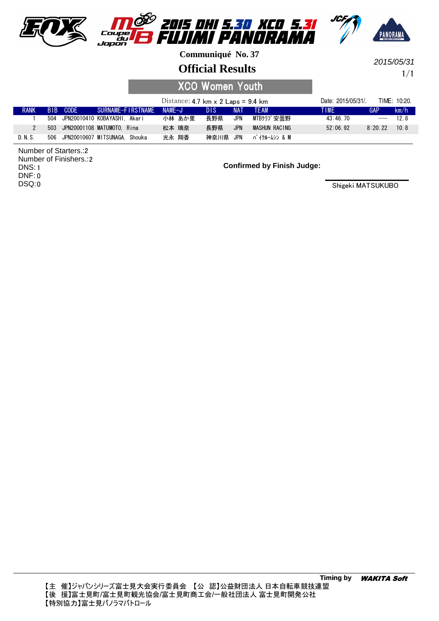

#### **Official Results**

1/1 2015/05/31

# XCO Women Youth

|             |          |                                   | Distance: 4.7 km $\times$ 2 Laps = 9.4 km |      |            |               | Date: 2015/05/31/. |            | TIME: 10:20. |
|-------------|----------|-----------------------------------|-------------------------------------------|------|------------|---------------|--------------------|------------|--------------|
| <b>RANK</b> | BIB CODE | SURNAME-FIRSTNAME NAME-J          |                                           | DIS. | <b>NAT</b> | TFAM          | TIME               | <b>GAP</b> | km/h         |
|             |          | 504 JPN20010410 KOBAYASHI, Akari  | 小林 あか里                                    | 長野県  | <b>JPN</b> | MTBクラブ安量野     | 43:46.70           | $---$      | 128          |
|             |          | 503 JPN20001108 MATUMOTO. Rina    | 松本 璃奈                                     | 長野県  | <b>JPN</b> | MASHUN RACING | 52:06.92           | 8:20.22    | 10.8         |
| D. N. S.    |          | 506 JPN20010607 MITSUNAGA, Shouka | 光永 翔香                                     | 神奈川県 | JPN        | バ イクルームシン & M |                    |            |              |

2 Number of Starters.: 2 Number of Finishers.: 1 DNS: 0 DNF: 0 DSQ:

**Confirmed by Finish Judge:**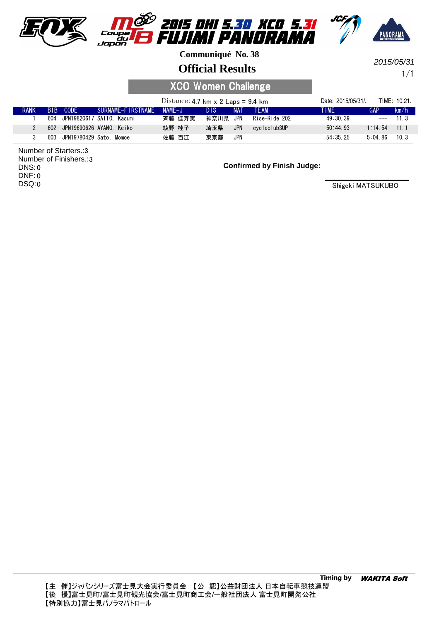





## **Official Results**

1/1 2015/05/31

# XCO Women Challenge

|             |                             |                               | Distance: 4.7 km $\times$ 2 Laps = 9.4 km |      |            |               | Date: 2015/05/31/. |                 | TIME: 10:21. |
|-------------|-----------------------------|-------------------------------|-------------------------------------------|------|------------|---------------|--------------------|-----------------|--------------|
| <b>RANK</b> | BIB CODE                    | SURNAME-FIRSTNAME             | NAMF-J                                    | DIS. | <b>NAT</b> | <b>TFAM</b>   | TIME               | GAP             | km/h         |
|             |                             | 604 JPN19820617 SAITO. Kasumi | 斉藤 佳寿実                                    | 神奈川県 | JPN        | Rise-Ride 202 | 49:30.39           | $---$           | 11 3         |
|             |                             | 602 JPN19690626 AYANO. Keiko  | 綾野 桂子                                     | 埼玉県  | <b>JPN</b> | cvcleclub3UP  | 50:44.93           | $1:14\,54$ 11 1 |              |
|             | 603 JPN19780429 Sato. Momoe |                               | 佐藤 百江                                     | 東京都  | JPN        |               | 54:35.25           | 5:04.86         | 10.3         |

3 Number of Starters.: Number of Finishers.: 3 0 DNS: 0 DNF: 0 DSQ:

**Confirmed by Finish Judge:**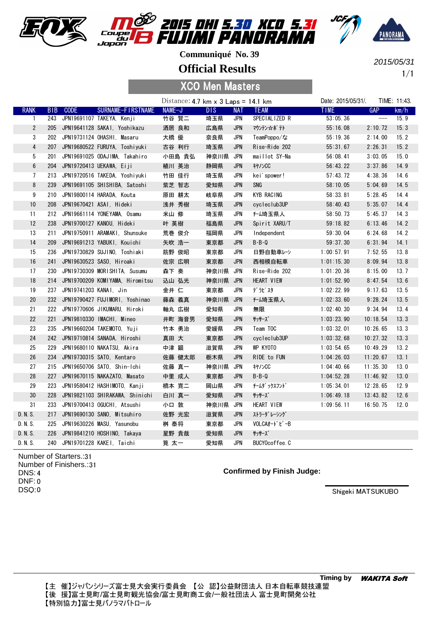





**Official Results**

1/1 2015/05/31

|              |            |                            |                                     |  |                                           | <b>XCO Men Masters</b> |            |                     |                    |          |              |
|--------------|------------|----------------------------|-------------------------------------|--|-------------------------------------------|------------------------|------------|---------------------|--------------------|----------|--------------|
|              |            |                            |                                     |  | Distance: $4.7$ km x $3$ Laps = $14.1$ km |                        |            |                     | Date: 2015/05/31/. |          | TIME: 11:43. |
| <b>RANK</b>  | <b>BIB</b> | <b>CODE</b>                | <b>SURNAME-FIRSTNAME</b>            |  | NAME-J                                    | <b>DIS</b>             | <b>NAT</b> | <b>TEAM</b>         | <b>TIME</b>        | GAP      | km/h         |
| 1            | 243        |                            | JPN19691107 TAKEYA, Kenji           |  | 竹谷 賢二                                     | 埼玉県                    | JPN        | SPECIALIZED R       | 53:05.36           | $-\!-\!$ | 15.9         |
| $\mathbf{2}$ | 205        |                            | JPN19641128 SAKAI, Yoshikazu        |  | 酒居 良和                                     | 広島県                    | JPN        | マウンテン☆ポテト           | 55:16.08           | 2:10.72  | 15.3         |
| 3            | 202        |                            | JPN19731124 OHASHI, Masaru          |  | 大橋 優                                      | 奈良県                    | <b>JPN</b> | TeamPoppo/な         | 55:19.36           | 2:14.00  | 15.2         |
| 4            | 207        |                            | JPN19680522 FURUYA, Toshiyuki       |  | 古谷 利行                                     | 埼玉県                    | <b>JPN</b> | Rise-Ride 202       | 55:31.67           | 2:26.31  | 15.2         |
| 5            | 201        |                            | JPN19691025 ODAJIMA, Takahiro       |  | 小田島 貴弘                                    | 神奈川県                   | JPN        | maillot SY-Na       | 56:08.41           | 3:03.05  | 15.0         |
| 6            |            |                            | 204 JPN19720413 UEKAWA, Eiji        |  | 植川 英治                                     | 静岡県                    | JPN        | <b>キヤノンCC</b>       | 56:43.22           | 3:37.86  | 14.9         |
| 7            |            |                            | 213 JPN19720516 TAKEDA, Yoshiyuki   |  | 竹田 佳行                                     | 埼玉県                    | <b>JPN</b> | kei'spower!         | 57:43.72           | 4:38.36  | 14.6         |
| 8            | 239        |                            | JPN19691105 SHISHIBA, Satoshi       |  | 紫芝 智志                                     | 愛知県                    | <b>JPN</b> | SNG                 | 58:10.05           | 5:04.69  | 14.5         |
| 9            |            |                            | 210 JPN19800114 HARADA, Kouta       |  | 原田 耕太                                     | 岐阜県                    | <b>JPN</b> | KYB RACING          | 58:33.81           | 5:28.45  | 14.4         |
| 10           | 208        |                            | JPN19670421 ASAI, Hideki            |  | 浅井 秀樹                                     | 埼玉県                    | <b>JPN</b> | cycleclub3UP        | 58:40.43           | 5:35.07  | 14.4         |
| 11           |            |                            | 212 JPN19661114 YONEYAMA, Osamu     |  | 米山 修                                      | 埼玉県                    | JPN        | <del>f-</del> ム埼玉県人 | 58:50.73           | 5:45.37  | 14.3         |
| 12           |            |                            | 238 JPN19700127 KANOU, Hideki       |  | 叶 英樹                                      | 福島県                    | <b>JPN</b> | Spirit XARU/T       | 59:18.82           | 6:13.46  | 14.2         |
| 13           | 211        |                            | JPN19750911 ARAMAKI, Shunsuke       |  | 荒巻 俊介                                     | 福岡県                    | JPN        | Independent         | 59:30.04           | 6:24.68  | 14.2         |
| 14           | 209        |                            | JPN19691213 YABUKI, Kouichi         |  | 矢吹 浩一                                     | 東京都                    | <b>JPN</b> | $B - B - Q$         | 59:37.30           | 6:31.94  | 14.1         |
| 15           | 236        |                            | JPN19730829 SUJINO, Toshiaki        |  | 筋野 俊昭                                     | 東京都                    | JPN        | 日野自動車レーシ            | 1:00:57.91         | 7:52.55  | 13.8         |
| 16           | 241        |                            | JPN19630523 SASO, Hiroaki           |  | 佐宗 広明                                     | 東京都                    | <b>JPN</b> | 西相模自転車              | 1:01:15.30         | 8:09.94  | 13.8         |
| 17           | 230        |                            | JPN19730309 MORISHITA, Susumu       |  | 森下奏                                       | 神奈川県 JPN               |            | Rise-Ride 202       | 1:01:20.36         | 8:15.00  | 13.7         |
| 18           |            |                            | 214 JPN19700209 KOMIYAMA, Hiromitsu |  | 込山 弘光                                     | 神奈川県 JPN               |            | HEART VIEW          | 1:01:52.90         | 8:47.54  | 13.6         |
| 19           |            | 237 JPN19741203 KANAI, Jin |                                     |  | 金井 仁                                      | 東京都                    | JPN        | デラピスタ               | 1:02:22.99         | 9:17.63  | 13.5         |
| 20           |            |                            | 232 JPN19790427 FUJIMORI, Yoshinao  |  | 藤森 義真                                     | 神奈川県 JPN               |            | <del>f-</del> ム埼玉県人 | 1:02:33.60         | 9:28.24  | 13.5         |
| 21           |            |                            | 222 JPN19770606 JIKUMARU, Hiroki    |  | 軸丸 広樹                                     | 愛知県                    | JPN        | 無限                  | 1:02:40.30         | 9:34.94  | 13.4         |
| 22           | 221        |                            | JPN19810330 IMACHI, Mineo           |  | 井町 海音男                                    | 愛知県                    | <b>JPN</b> | サッサーズ               | 1:03:23.90         | 10:18.54 | 13.3         |
| 23           | 235        |                            | JPN19660204 TAKEMOTO, Yuji          |  | 竹本 勇治                                     | 愛媛県                    | <b>JPN</b> | Team TOC            | 1:03:32.01         | 10:26.65 | 13.3         |
| 24           |            |                            | 242 JPN19710814 SANADA, Hiroshi     |  | 真田 大                                      | 東京都                    | <b>JPN</b> | cycleclub3UP        | 1:03:32.68         | 10:27.32 | 13.3         |
| 25           | 229        |                            | JPN19680110 NAKATSU, Akira          |  | 中津 顕                                      | 滋賀県                    | JPN        | WP KYOTO            | 1:03:54.65         | 10:49.29 | 13.2         |
| 26           |            |                            | 234 JPN19730315 SATO, Kentaro       |  | 佐藤 健太郎                                    | 栃木県                    | <b>JPN</b> | RIDE to FUN         | 1:04:26.03         | 11:20.67 | 13.1         |
| 27           |            |                            | 215 JPN19650706 SATO, Shin-Ichi     |  | 佐藤 真一                                     | 神奈川県                   | JPN        | キヤノンCC              | 1:04:40.66         | 11:35.30 | 13.0         |
| 28           | 227        |                            | JPN19670115 NAKAZATO, Masato        |  | 中里 成人                                     | 東京都                    | <b>JPN</b> | $B - B - Q$         | 1:04:52.28         | 11:46.92 | 13.0         |
| 29           | 223        |                            | JPN19580412 HASHIMOTO, Kanji        |  | 橋本 寛二                                     | 岡山県                    | JPN        | チームダ ックスフント゛        | 1:05:34.01         | 12:28.65 | 12.9         |
| 30           |            |                            | 228 JPN19821103 SHIRAKAWA, Shinichi |  | 白川 真一                                     | 愛知県                    | JPN        | サッサーズ               | 1:06:49.18         | 13:43.82 | 12.6         |
| 31           |            |                            | 233 JPN19700413 OGUCHI, Atsushi     |  | 小口 敦                                      | 神奈川県                   | JPN        | HEART VIEW          | 1:09:56.11         | 16:50.75 | 12.0         |
| D. N. S.     | 217        |                            | JPN19690130 SANO, Mitsuhiro         |  | 佐野 光宏                                     | 滋賀県                    | <b>JPN</b> | ストラーダ レーシング         |                    |          |              |
| D. N. S.     | 225        |                            | JPN19630226 MASU, Yasunobu          |  | 桝 泰将                                      | 東京都                    | <b>JPN</b> | VOLCAオードビーB         |                    |          |              |

Number of Starters.: 31 Number of Finishers.: 31 4 DNS: 0 DNF: 0 DSQ:

#### **Confirmed by Finish Judge:**

Shigeki MATSUKUBO

D.N.S. 226 JPN19841210 HOSHINO, Takaya 星野 貴哉 愛知県 JPN サッサーズ

D.N.S. 240 JPN19701228 KAKEI, Taichi 第太一 愛知県 JPN BUCYOcoffee.C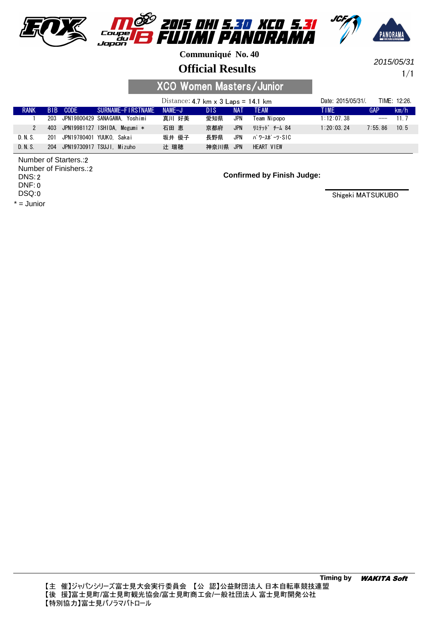





**Official Results**

1/1 2015/05/31

## XCO Women Masters/Junior

|               |                 |      |                                   | Distance: 4.7 km $\times$ 3 Laps = 14.1 km |      |            |               | Date: 2015/05/31/ |            | TIME: 12:26. |
|---------------|-----------------|------|-----------------------------------|--------------------------------------------|------|------------|---------------|-------------------|------------|--------------|
| <b>RANK</b>   | B <sub>IB</sub> | CODE | SURNAME-FIRSTNAME                 | $NAMF-J$                                   | DIS. | <b>NAT</b> | <b>TFAM</b>   | <b>TIME</b>       | <b>GAP</b> | km/h         |
|               |                 |      | 203 JPN19800429 SANAGAWA. Yoshimi | 真川 好美                                      | 愛知県  | <b>JPN</b> | Team Nipopo   | 1:12:07.38        | $---$      | 11 7         |
| $\mathcal{P}$ |                 |      | 403 JPN19981127 ISHIDA. Megumi *  | 石田 恵                                       | 京都府  | <b>JPN</b> | リミテット゛ チーム 84 | 1:20:03.24        | 7:55.86    | 10.5         |
| D.N.S.        | 201             |      | JPN19780401 YUUKO. Sakai          | 坂井 優子                                      | 長野県  | JPN        | パ ワースポ ーツ・SIC |                   |            |              |
| D N S         | 204             |      | JPN19730917 TSUJI, Mizuho         | 辻 瑞穂                                       | 神奈川県 | <b>JPN</b> | HEART VIEW    |                   |            |              |

2 Number of Starters.: 2 Number of Finishers.: 2 DNS: 0 DNF: 0 DSQ:

\* = Junior

**Confirmed by Finish Judge:**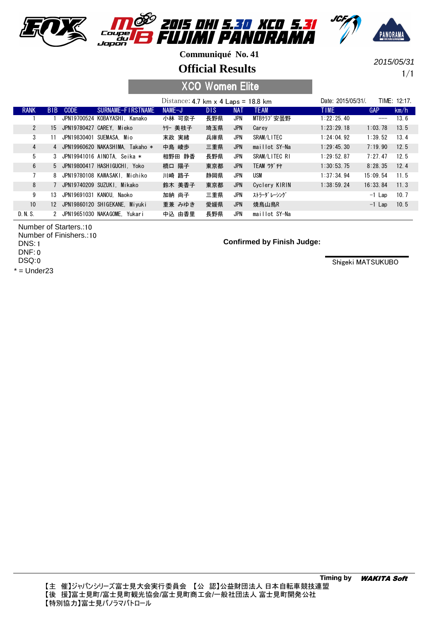

**Official Results**

1/1 2015/05/31

### XCO Women Elite

|                |                 |             |                                   | Distance: $4.7$ km x $4$ Laps = 18.8 km |            |            |                   | TIME: 12:17.<br>Date: 2015/05/31/. |            |      |
|----------------|-----------------|-------------|-----------------------------------|-----------------------------------------|------------|------------|-------------------|------------------------------------|------------|------|
| <b>RANK</b>    | B <sub>IB</sub> | <b>CODE</b> | SURNAME-FIRSTNAME                 | $NAME-J$                                | <b>DIS</b> | <b>NAT</b> | <b>TEAM</b>       | TIME.                              | <b>GAP</b> | km/h |
|                |                 |             | JPN19700524 KOBAYASHI, Kanako     | 小林 可奈子                                  | 長野県        | <b>JPN</b> | MTBクラブ安曇野         | 1:22:25.40                         |            | 13.6 |
| $\mathbf{2}$   | 15              |             | JPN19780427 CAREY. Mieko          | クリー 美枝子                                 | 埼玉県        | JPN        | Carey             | 1:23:29.18                         | 1:03.78    | 13.5 |
| 3              | 11              |             | JPN19830401 SUEMASA. Mio          | 末政 実緒                                   | 兵庫県        | JPN        | SRAM/LITEC        | 1:24:04.92                         | 1:39.52    | 13.4 |
| $\overline{4}$ |                 |             | 4 JPN19960620 NAKASHIMA. Takaho * | 中島 崚歩                                   | 三重県        | <b>JPN</b> | maillot SY-Na     | 1:29:45.30                         | 7:19.90    | 12.5 |
| 5              |                 |             | 3 JPN19941016 AINOTA. Seika *     | 相野田 静香                                  | 長野県        | JPN        | SRAM/LITEC RI     | 1:29:52.87                         | 7:27.47    | 12.5 |
| 6              |                 |             | 5 JPN19800417 HASHIGUCHI, Yoko    | 橋口 陽子                                   | 東京都        | <b>JPN</b> | <b>TEAM ワダ チヤ</b> | 1:30:53.75                         | 8:28.35    | 12.4 |
| $\overline{7}$ |                 |             | 8 JPN19780108 KAWASAKI, Michiko   | 川崎 路子                                   | 静岡県        | JPN        | USM               | 1:37:34.94                         | 15:09.54   | 11.5 |
| 8              |                 |             | 7 JPN19740209 SUZUKI. Mikako      | 鈴木 美香子                                  | 東京都        | <b>JPN</b> | Cyclery KIRIN     | 1:38:59.24                         | 16:33.84   | 11.3 |
| 9              | 13              |             | JPN19691031 KANOU. Naoko          | 加納 尚子                                   | 三重県        | JPN        | ストラーダ レーシング       |                                    | $-1$ Lap   | 10.7 |
| 10             |                 |             | 12 JPN19860120 SHIGEKANE, Miyuki  | 重兼 みゆき                                  | 愛媛県        | <b>JPN</b> | 焼鳥山鳥R             |                                    | $-1$ Lap   | 10.5 |
| D. N. S.       |                 |             | 2 JPN19651030 NAKAGOME. Yukari    | 中込 由香里                                  | 長野県        | JPN        | maillot SY-Na     |                                    |            |      |

Number of Starters.: 10 Number of Finishers.: 10 1 DNS: 0 DNF: 0 DSQ:

 $*$  = Under23

**Confirmed by Finish Judge:**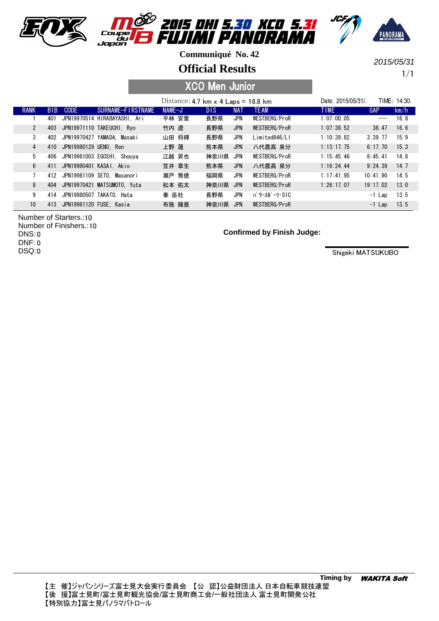

**Official Results**

1/1 2015/05/31

### XCO Men Junior

|                 |                 |                         |                              | Distance: 4.7 km $\times$ 4 Laps = 18.8 km |      |            |               | Date: 2015/05/31/. |            | TIME: 14:30. |
|-----------------|-----------------|-------------------------|------------------------------|--------------------------------------------|------|------------|---------------|--------------------|------------|--------------|
| <b>RANK</b>     | B <sub>IB</sub> | CODE                    | SURNAME-FIRSTNAME            | NAME-J                                     | DIS  | <b>NAT</b> | <b>TEAM</b>   | <b>TIME</b>        | <b>GAP</b> | km/h         |
|                 | 401             |                         | JPN19970514 HIRABAYASHI. Ari | 平林 安里                                      | 長野県  | JPN        | WESTBERG/ProR | 1:07:00.05         |            | 16.8         |
| $\mathbf{2}$    | 403             |                         | JPN19971110 TAKEUCHI, Rvo    | 竹内 遼                                       | 長野県  | <b>JPN</b> | WESTBERG/ProR | 1:07:38.52         | 38.47      | 16.6         |
| 3               | 402             | JPN19970427             | YAMADA. Masaki               | 山田 将輝                                      | 長野県  | JPN        | Limited846/Ll | 1:10:39.82         | 3:39.77    | 15.9         |
| 4               | 410             | JPN19980129 UENO.       | Ren                          | 上野 蓮                                       | 熊本県  | <b>JPN</b> | 八代農高 泉分       | 1:13:17.75         | 6:17.70    | 15.3         |
| 5               | 406             |                         | JPN19981003 EGOSHI. Shouva   | 江越 昇也                                      | 神奈川県 | JPN        | WESTBERG/ProR | $1:15:45$ 46       | 8:45.41    | 14.8         |
| 6               | 411             |                         | JPN19980401 KASAI, Akio      | 笠井 章生                                      | 熊本県  | <b>JPN</b> | 八代農高 泉分       | 1:16:24.44         | 9:24.39    | 14.7         |
|                 | 412             |                         | JPN19981109 SETO. Masanori   | 瀬戸 雅徳                                      | 福岡県  | <b>JPN</b> | WESTBERG/ProR | 1:17:41.95         | 10:41,90   | 14.5         |
| 8               | 404             | JPN19970421             | MATSUMOTO. Yuta              | 松本 佑太                                      | 神奈川県 | <b>JPN</b> | WESTBERG/ProR | 1:26:17.07         | 19:17.02   | 13.0         |
| 9               | 414             | JPN19980507             | TAKATO. Hata                 | 秦 岳杜                                       | 長野県  | <b>JPN</b> | パ ワースポ ーツ・SIC |                    | $-1$ Lap   | 13.5         |
| 10 <sup>°</sup> | 413             | JPN19981120 FUSE, Kasia |                              | 布施 擁亜                                      | 神奈川県 | <b>JPN</b> | WESTBERG/ProR |                    | $-1$ Lap   | 13.5         |

Number of Starters.: 10 Number of Finishers.: 10 0 DNS: 0 DNF: 0 DSQ:

#### **Confirmed by Finish Judge:**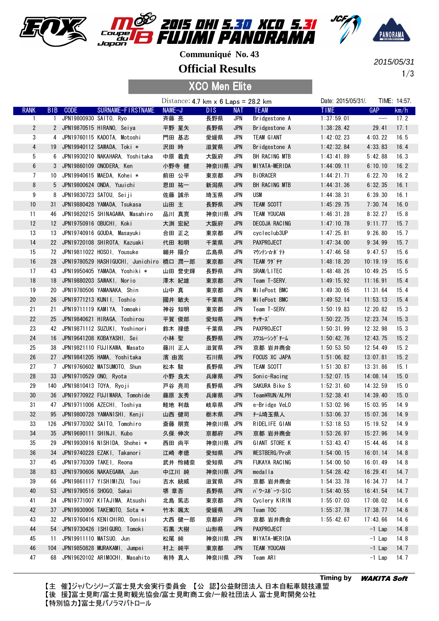





**Official Results**

1/3 2015/05/31

| <b>XCO Men Elite</b> |                 |                 |                         |                                          |        |        |                                              |            |                    |                    |                            |              |
|----------------------|-----------------|-----------------|-------------------------|------------------------------------------|--------|--------|----------------------------------------------|------------|--------------------|--------------------|----------------------------|--------------|
|                      |                 |                 |                         |                                          |        |        | Distance: $4.7$ km $\times$ 6 Laps = 28.2 km |            |                    | Date: 2015/05/31/. |                            | TIME: 14:57. |
|                      | <b>RANK</b>     | B <sub>IB</sub> | <b>CODE</b>             | SURNAME-FIRSTNAME                        | NAME-J |        | DIS.                                         | <b>NAT</b> | <b>TEAM</b>        | <b>TIME</b>        | <b>GAP</b>                 | km/h         |
|                      | $\mathbf{1}$    | $\mathbf{1}$    | JPN19800930 SAIT0, Ryo  |                                          | 斉藤 亮   |        | 長野県                                          | <b>JPN</b> | Bridgestone A      | 1:37:59.01         | $\qquad \qquad \text{---}$ | 17.2         |
|                      | $\mathbf{2}$    |                 |                         | 2 JPN19870515 HIRANO, Seiya              | 平野 星矢  |        | 長野県                                          | <b>JPN</b> | Bridgestone A      | 1:38:28.42         | 29.41                      | 17.1         |
|                      | 3               |                 |                         | 4 JPN19760115 KADOTA, Motoshi            | 門田 基志  |        | 愛媛県                                          | <b>JPN</b> | TEAM GIANT         | 1:42:02.23         | 4:03.22                    | 16.5         |
|                      | 4               | 19              |                         | JPN19940112 SAWADA, Toki *               | 沢田 時   |        | 滋賀県                                          | <b>JPN</b> | Bridgestone A      | 1:42:32.84         | 4:33.83                    | 16.4         |
|                      | 5               | 6               |                         | JPN19930210 NAKAHARA, Yoshitaka          | 中原 義貴  |        | 大阪府                                          | <b>JPN</b> | BH RACING MTB      | 1:43:41.89         | 5:42.88                    | 16.3         |
|                      | $6\phantom{.}6$ |                 |                         | 3 JPN19860109 ONODERA, Ken               | 小野寺 健  |        | 神奈川県                                         | JPN        | MIYATA-MERIDA      | 1:44:09.11         | 6:10.10                    | 16.2         |
|                      | 7               | 10              |                         | JPN19940615 MAEDA. Kohei *               | 前田 公平  |        | 東京都                                          | JPN        | <b>BiORACER</b>    | 1:44:21.71         | 6:22.70                    | 16.2         |
|                      | 8               |                 |                         | 5 JPN19800624 ONDA, Yuuichi              | 恩田 祐一  |        | 新潟県                                          | <b>JPN</b> | BH RACING MTB      | 1:44:31.36         | 6:32.35                    | 16.1         |
|                      | 9               | 8               |                         | JPN19830723 SATOU, Seiji                 | 佐藤 誠示  |        | 埼玉県                                          | <b>JPN</b> | <b>USM</b>         | 1:44:38.31         | 6:39.30                    | 16.1         |
|                      | 10              | 31              |                         | JPN19880428 YAMADA, Tsukasa              | 山田 主   |        | 長野県                                          | JPN        | TEAM SCOTT         | 1:45:29.75         | 7:30.74                    | 16.0         |
|                      | 11              | 46              |                         | JPN19820215 SHINAGAWA, Masahiro          | 品川 真寛  |        | 神奈川県                                         | JPN        | <b>TEAM YOUCAN</b> | 1:46:31.28         | 8:32.27                    | 15.8         |
|                      | 12              |                 |                         | 12 JPN19750916 OBUCHI, Koki              | 大渕 宏紀  |        | 大阪府                                          | <b>JPN</b> | DECOJA RACING      | 1:47:10.78         | 9:11.77                    | 15.7         |
|                      | 13              | 13              |                         | JPN19740916 GOUDA, Masayuki              | 合田 正之  |        | 東京都                                          | <b>JPN</b> | cycleclub3UP       | 1:47:25.81         | 9:26.80                    | 15.7         |
|                      | 14              |                 |                         | 22 JPN19720108 SHIROTA, Kazuaki          | 代田 和明  |        | 千葉県                                          | <b>JPN</b> | PAXPROJECT         | 1:47:34.00         | 9:34.99                    | 15.7         |
|                      | 15              |                 |                         | 72 JPN19811022 H0S01, Yousuke            | 細井 陽介  |        | 広島県                                          | JPN        | マウンテン☆ポテト          | 1:47:46.58         | 9:47.57                    | 15.6         |
|                      | 16              | 28              |                         | JPN19780529 HASHIGUCHI, Junichiro 橋口 潤一郎 |        |        | 東京都                                          | JPN        | TEAM ワダ チヤ         | 1:48:18.20         | 10:19.19                   | 15.6         |
|                      | 17              | 43              |                         | JPN19950405 YAMADA, Yoshiki *            |        | 山田 誉史輝 | 長野県                                          | <b>JPN</b> | SRAM/LITEC         | 1:48:48.26         | 10:49.25                   | 15.5         |
|                      | 18              | 18              |                         | JPN19880203 SAWAKI, Norio                | 澤木 紀雄  |        | 東京都                                          | <b>JPN</b> | Team T-SERV.       | 1:49:15.92         | 11:16.91                   | 15.4         |
|                      | 19              | 20              |                         | JPN19780506 YAMANAKA, Shin               | 山中 真   |        | 東京都                                          | <b>JPN</b> | MilePost BMC       | 1:49:30.65         | 11:31.64                   | 15.4         |
|                      | 20              | 26              |                         | JPN19771213 KUNII, Toshio                | 國井 敏夫  |        | 千葉県                                          | <b>JPN</b> | MilePost BMC       | 1:49:52.14         | 11:53.13                   | 15.4         |
|                      | 21              | 21              |                         | JPN19711119 KAMIYA, Tomoaki              | 神谷 知明  |        | 東京都                                          | <b>JPN</b> | Team T-SERV.       | 1:50:19.83         | 12:20.82                   | 15.3         |
|                      | 22              | 25              |                         | JPN19840621 HIRAGA, Toshirou             | 平賀 俊郎  |        | 愛知県                                          | <b>JPN</b> | サッサーズ              | 1:50:22.75         | 12:23.74                   | 15.3         |
|                      | 23              | 42              |                         | JPN19871112 SUZUKI, Yoshinori            | 鈴木 禄徳  |        | 千葉県                                          | <b>JPN</b> | <b>PAXPROJECT</b>  | 1:50:31.99         | 12:32.98                   | 15.3         |
|                      | 24              | 16              |                         | JPN19641208 KOBAYASHI, Sei               | 小林 聖   |        | 長野県                                          | <b>JPN</b> | スワコレーシング チーム       | 1:50:42.76         | 12:43.75                   | 15.2         |
|                      | 25              | 38              |                         | JPN19821110 FUJIKAWA, Masato             | 藤川 正人  |        | 滋賀県                                          | <b>JPN</b> | 京都 岩井商会            | 1:50:53.50         | 12:54.49                   | 15.2         |
|                      | 26              | 27              |                         | JPN19841205 HAMA, Yoshitaka              | 濱 由嵩   |        | 石川県                                          | <b>JPN</b> | FOCUS XC JAPA      | 1:51:06.82         | 13:07.81                   | 15.2         |
|                      | 27              | 7               |                         | JPN19760602 MATSUMOTO, Shun              | 松本 駿   |        | 長野県                                          | <b>JPN</b> | TEAM SCOTT         | 1:51:30.87         | 13:31.86                   | 15.1         |
|                      | 28              | 33              | JPN19710529 ONO, Ryota  |                                          | 小野 良太  |        | 兵庫県                                          | <b>JPN</b> | Sonic-Racing       | 1:52:07.15         | 14:08.14                   | 15.0         |
|                      | 29              | 140             | JPN19810413 TOYA, Ryoji |                                          | 戸谷 亮司  |        | 長野県                                          | JPN        | SAKURA Bike S      | 1:52:31.60         | 14:32.59                   | 15.0         |
|                      | 30              | 36              |                         | JPN19770922 FUJIWARA, Tomohide           | 藤原 友秀  |        | 兵庫県                                          | <b>JPN</b> | Team¥RUN/ALPH      | 1:52:38.41         | 14:39.40                   | 15.0         |
|                      | 31              |                 |                         | 47 JPN19711006 AZECHI, Toshiya           | 畦地 利哉  |        | 岐阜県                                          | <b>JPN</b> | e-Bridge VeLO      | 1:53:02.96         | 15:03.95                   | 14.9         |
|                      | 32              | 95              |                         | JPN19800728 YAMANISHI, Kenji             | 山西 健司  |        | 栃木県                                          | <b>JPN</b> | <b>f-ム埼玉県人</b>     | 1:53:06.37         | 15:07.36                   | 14.9         |
|                      | 33              | 126             |                         | JPN19770302 SAITO, Tomohiro              | 斎藤 朋寛  |        | 神奈川県                                         | JPN        | RIDELIFE GIAN      | 1:53:18.53         | 15:19.52                   | 14.9         |
|                      | 34              | 35              |                         | JPN19690111 SHINJI, Kubo                 | 久保 伸次  |        | 京都府                                          | <b>JPN</b> | 京都 岩井商会            | 1:53:26.97         | 15:27.96                   | 14.9         |
|                      | 35              | 29              |                         | JPN19930916 NISHIDA, Shohei *            | 西田 尚平  |        | 神奈川県                                         | JPN        | GIANT STORE K      | 1:53:43.47         | 15:44.46                   | 14.8         |
|                      | 36              | 34              |                         | JPN19740228 EZAKI, Takanori              | 江崎 孝徳  |        | 愛知県                                          | <b>JPN</b> | WESTBERG/ProR      | 1:54:00.15         | 16:01.14                   | 14.8         |
|                      | 37              | 45              |                         | JPN19770309 TAKEI, Reona                 |        | 武井 怜緒奈 | 愛知県                                          | JPN        | FUKAYA RACING      | 1:54:00.50         | 16:01.49                   | 14.8         |
|                      | 38              | 83              |                         | JPN19790606 NAKAEGAWA, Jun               | 中江川 純  |        | 神奈川県 JPN                                     |            | medalla            | 1:54:28.42         | 16:29.41                   | 14.7         |
|                      | 39              | 66              |                         | JPN19861117 YISHIMIZU, Toui              | 吉水 統威  |        | 滋賀県                                          | JPN        | 京都 岩井商会            | 1:54:33.78         | 16:34.77                   | 14.7         |
|                      | 40              | 53              |                         | JPN19790516 SHOGO, Sakai                 | 堺 章吾   |        | 長野県                                          | <b>JPN</b> | パ ワースポ ーツ・SIC      | 1:54:40.55         | 16:41.54                   | 14.7         |
|                      | 41              | 24              |                         | JPN19771007 KITAJIMA, Atsushi            | 北島 篤志  |        | 東京都                                          | JPN        | Cyclery KIRIN      | 1:55:07.03         | 17:08.02                   | 14.6         |
|                      | 42              | 37              |                         | JPN19930906 TAKEMOTO, Sota *             | 竹本 颯太  |        | 愛媛県                                          | <b>JPN</b> | Team TOC           | 1:55:37.78         | 17:38.77                   | 14.6         |
|                      | 43              | 32              |                         | JPN19760416 KENICHIRO, Oonisi            |        | 大西 健一郎 | 京都府                                          | JPN        | 京都 岩井商会            | 1:55:42.67         | 17:43.66                   | 14.6         |
|                      | 44              | 54              |                         | JPN19730426 ISHIGURO, Tomoki             | 石黒 大樹  |        | 山形県                                          | <b>JPN</b> | PAXPROJECT         |                    | $-1$ Lap                   | 14.8         |
|                      | 45              | 11              |                         | JPN19911110 MATSUO, Jun                  | 松尾 純   |        | 神奈川県 JPN                                     |            | MIYATA-MERIDA      |                    | $-1$ Lap                   | 14.8         |
|                      | 46              | 104             |                         | JPN19850828 MURAKAMI, Jumpei             | 村上 純平  |        | 東京都                                          | <b>JPN</b> | <b>TEAM YOUCAN</b> |                    | $-1$ Lap                   | 14.7         |
|                      | 47              |                 |                         | 68 JPN19620102 ARIMOCHI, Masahito        | 有持 真人  |        | 神奈川県 JPN                                     |            | Team ARI           |                    | $-1$ Lap                   | 14.7         |
|                      |                 |                 |                         |                                          |        |        |                                              |            |                    |                    |                            |              |

【主 催】ジャパンシリーズ富士見大会実行委員会 【公 認】公益財団法人 日本自転車競技連盟 【後 援】富富富富 富富富富富富富富 富富富富富富富 一一一公公公 富富富富富富公一 / / / 【特別協力】富士見パノラマパトロール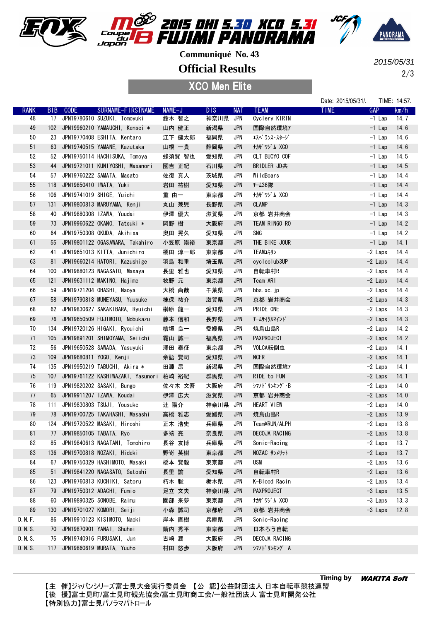





**Official Results**

XCO Men Elite

2/3 2015/05/31

|             |                 |                         |                                         |        |            |            |                    | Date: 2015/05/31/. |            | TIME: 14:57. |
|-------------|-----------------|-------------------------|-----------------------------------------|--------|------------|------------|--------------------|--------------------|------------|--------------|
| <b>RANK</b> | B <sub>IB</sub> | <b>CODE</b>             | SURNAME-FIRSTNAME                       | NAME-J | <b>DIS</b> | <b>NAT</b> | <b>TEAM</b>        | <b>TIME</b>        | <b>GAP</b> | km/h         |
| 48          |                 |                         | 17 JPN19780610 SUZUKI, Tomoyuki         | 鈴木 智之  | 神奈川県       | JPN        | Cyclery KIRIN      |                    | $-1$ Lap   | 14. 7        |
| 49          |                 |                         | 102 JPN19960210 YAMAUCHI, Kensei *      | 山内 健正  | 新潟県        | <b>JPN</b> | 国際自然環境7            |                    | $-1$ Lap   | 14.6         |
| 50          | 23              |                         | JPN19770408 ESHITA, Kentaro             | 江下 健太郎 | 福岡県        | <b>JPN</b> | エスヘ゜ランス・スタージ゛      |                    | $-1$ Lap   | 14.6         |
| 51          | 63              |                         | JPN19740515 YAMANE, Kazutaka            | 山根 一貴  | 静岡県        | <b>JPN</b> | <b>ナカザワジム XCO</b>  |                    | $-1$ Lap   | 14.6         |
| 52          | 52              |                         | JPN19750114 HACHISUKA, Tomoya           | 蜂須賀 智也 | 愛知県        | <b>JPN</b> | CLT BUCYO COF      |                    | $-1$ Lap   | 14.5         |
| 53          | 44              |                         | JPN19721011 KUNIYOSHI, Masanori         | 國吉 正紀  | 石川県        | <b>JPN</b> | BRIDLER JD共        |                    | $-1$ Lap   | 14.5         |
| 54          | 57              |                         | JPN19760222 SAMATA, Masato              | 佐復 真人  | 茨城県        | JPN        | WildBoars          |                    | $-1$ Lap   | 14.4         |
| 55          | 118             | JPN19850410 IWATA, Yuki |                                         | 岩田 祐樹  | 愛知県        | <b>JPN</b> | f-436隊             |                    | $-1$ Lap   | 14.4         |
| 56          | 106             |                         | JPN19741019 SHIGE, Yuichi               | 重 由一   | 東京都        | <b>JPN</b> | <b>ナカザ ワジム XCO</b> |                    | $-1$ Lap   | 14.4         |
| 57          | 131             |                         | JPN19800813 MARUYAMA, Kenji             | 丸山 兼児  | 長野県        | <b>JPN</b> | <b>CLAMP</b>       |                    | $-1$ Lap   | 14.3         |
| 58          | 40              |                         | JPN19880308 IZAWA, Yuudai               | 伊澤 優大  | 滋賀県        | JPN        | 京都 岩井商会            |                    | $-1$ Lap   | 14.3         |
| 59          | 73              |                         | JPN19960622 OKANO, Tatsuki *            | 岡野 樹   | 大阪府        | <b>JPN</b> | TEAM RINGO RO      |                    | $-1$ Lap   | 14.2         |
| 60          | 64              |                         | JPN19750308 OKUDA, Akihisa              | 奥田 晃久  | 愛知県        | <b>JPN</b> | SNG                |                    | $-1$ Lap   | 14.2         |
| 61          | 55              |                         | JPN19801122 OGASAWARA, Takahiro         | 小笠原 崇裕 | 東京都        | <b>JPN</b> | THE BIKE JOUR      |                    | $-1$ Lap   | 14.1         |
| 62          | 41              |                         | JPN19651013 KITTA, Junichiro            | 橘田 淳一郎 | 東京都        | JPN        | TEAMユキリン           |                    | -2 Laps    | 14.4         |
| 63          | 81              |                         | JPN19660214 HATORI, Kazushige           | 羽鳥 和重  | 埼玉県        | <b>JPN</b> | cycleclub3UP       |                    | $-2$ Laps  | 14.4         |
| 64          | 100             |                         | JPN19880123 NAGASATO, Masaya            | 長里 雅也  | 愛知県        | JPN        | 自転車村R              |                    | $-2$ Laps  | 14.4         |
| 65          | 121             |                         | JPN19631112 MAKINO, Hajime              | 牧野 元   | 東京都        | <b>JPN</b> | Team ARI           |                    | $-2$ Laps  | 14.4         |
| 66          | 59              |                         | JPN19721204 OHASHI, Naoya               | 大橋 尚哉  | 千葉県        | JPN        | bbs.xc.jp          |                    | $-2$ Laps  | 14.4         |
| 67          | 58              |                         | JPN19790818 MUNEYASU, Yuusuke           | 棟保 祐介  | 滋賀県        | <b>JPN</b> | 京都 岩井商会            |                    | $-2$ Laps  | 14.3         |
| 68          | 62              |                         | JPN19830627 SAKAKIBARA, Ryuichi         | 榊原 龍一  | 愛知県        | JPN        | PRIDE ONE          |                    | $-2$ Laps  | 14.3         |
| 69          | 76              |                         | JPN19650509 FUJIMOTO, Nobukazu          | 藤本 信和  | 長野県        | <b>JPN</b> | チームサイクルマイント゛       |                    | $-2$ Laps  | 14.3         |
| 70          | 134             |                         | JPN19720126 HIGAKI, Ryouichi            | 檜垣 良一  | 愛媛県        | JPN        | 焼鳥山鳥R              |                    | $-2$ Laps  | 14.2         |
| 71          | 105             |                         | JPN19891201 SHIMOYAMA, Seiichi          | 霜山 誠一  | 福島県        | <b>JPN</b> | <b>PAXPROJECT</b>  |                    | $-2$ Laps  | 14.2         |
| 72          | 56              |                         | JPN19650528 SAWADA, Yasuyuki            | 澤田 泰征  | 東京都        | <b>JPN</b> | VOLCA転倒虫           |                    | $-2$ Laps  | 14.1         |
| 73          | 109             | JPN19680811 YOGO, Kenji |                                         | 余語 賢司  | 愛知県        | <b>JPN</b> | <b>NCFR</b>        |                    | $-2$ Laps  | 14.1         |
| 74          | 135             |                         | JPN19950219 TABUCHI, Akira *            | 田淵 昂   | 新潟県        | <b>JPN</b> | 国際自然環境7            |                    | $-2$ Laps  | 14.1         |
| 75          | 107             |                         | JPN19761122 KASHIWAZAKI, Yasunori 柏崎 裕紀 |        | 群馬県        | <b>JPN</b> | RIDE to FUN        |                    | $-2$ Laps  | 14.1         |
| 76          | 119             |                         | JPN19820202 SASAKI, Bungo               | 佐々木 文吾 | 大阪府        | JPN        | シマノドリンキング・B        |                    | $-2$ Laps  | 14.0         |
| 77          | 65              |                         | JPN19911207 IZAWA, Koudai               | 伊澤 広大  | 滋賀県        | <b>JPN</b> | 京都 岩井商会            |                    | $-2$ Laps  | 14.0         |
| 78          | 111             |                         | JPN19830803 TSUJI, Yousuke              | 辻 陽介   | 神奈川県       | JPN        | HEART VIEW         |                    | $-2$ Laps  | 14.0         |
| 79          | 78              |                         | JPN19700725 TAKAHASHI, Masashi          | 高橋 雅志  | 愛媛県        | <b>JPN</b> | 焼鳥山鳥R              |                    | $-2$ Laps  | 13.9         |
| 80          |                 |                         | 124 JPN19720522 MASAKI, Hiroshi         | 正木 浩史  | 兵庫県        | <b>JPN</b> | Team¥RUN/ALPH      |                    | -2 Laps    | 13.8         |
| 81          | $\frac{1}{2}$   |                         | JPN19850105 TABATA, Ryo                 | 多端 亮   | 奈良県        | <b>JPN</b> | DECOJA RACING      |                    | $-2$ Laps  | 13.8         |
| 82          | 85              |                         | JPN19840613 NAGATANI, Tomohiro          | 長谷 友博  | 兵庫県        | JPN        | Sonic-Racing       |                    | $-2$ Laps  | 13.7         |
| 83          | 136             |                         | JPN19700818 NOZAKI, Hideki              | 野嵜 英樹  | 東京都        | <b>JPN</b> | NOZAC サンメリット       |                    | $-2$ Laps  | 13.7         |
| 84          | 67              |                         | JPN19750329 HASHIMOTO, Masaki           | 橋本 賢毅  | 東京都        | JPN        | USM                |                    | $-2$ Laps  | 13.6         |
| 85          | 51              |                         | JPN19841220 NAGASATO, Satoshi           | 長里 諭   | 愛知県        | <b>JPN</b> | 自転車村R              |                    | $-2$ Laps  | 13.6         |
| 86          | 123             |                         | JPN19760813 KUCHIKI, Satoru             | 朽木 聡   | 栃木県        | JPN        | K-Blood Racin      |                    | $-2$ Laps  | 13.4         |
| 87          | 79              |                         | JPN19750312 ADACHI, Fumio               | 足立 文夫  | 神奈川県       | JPN        | PAXPROJECT         |                    | $-3$ Laps  | 13.5         |
| 88          | 60              |                         | JPN19890325 SONOBE, Raimu               | 園部 来夢  | 東京都        | JPN        | <b>thザワジム XCO</b>  |                    | -3 Laps    | 13.3         |
| 89          |                 |                         | JPN19701027 KOMORI, Seiji               |        | 京都府        |            |                    |                    | $-3$ Laps  |              |
|             | 130             |                         |                                         | 小森 誠司  |            | <b>JPN</b> | 京都 岩井商会            |                    |            | 12.8         |
| D. N. F.    | 86              |                         | JPN19910123 KISIMOTO, Naoki             | 岸本 直樹  | 兵庫県        | JPN        | Sonic-Racing       |                    |            |              |
| D. N. S.    | 70              |                         | JPN19870901 YANAI, Shuhei               | 箭内 秀平  | 東京都        | <b>JPN</b> | 日本ろう自転             |                    |            |              |
| D. N. S.    | 75              |                         | JPN19740916 FURUSAKI, Jun               | 古崎 潤   | 大阪府        | JPN        | DECOJA RACING      |                    |            |              |
| D. N. S.    | 117             |                         | JPN19860619 MURATA, Yuuho               | 村田 悠歩  | 大阪府        | <b>JPN</b> | シマノドリンキング A        |                    |            |              |